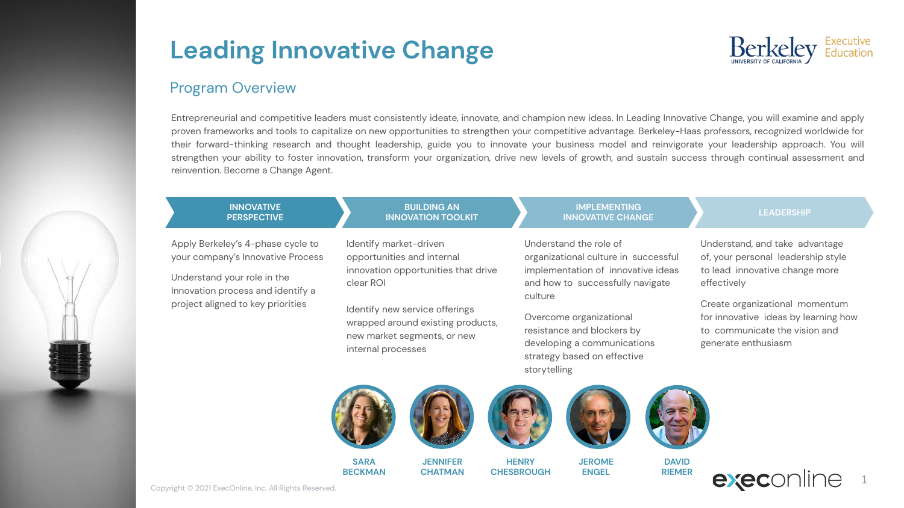

### Program Overview

Entrepreneurial and competitive leaders must consistently ideate, innovate, and champion new ideas. In Leading Innovative Change, you will examine and apply proven frameworks and tools to capitalize on new opportunities to strengthen your competitive advantage. Berkeley-Haas professors, recognized worldwide for their forward-thinking research and thought leadership, guide you to innovate your business model and reinvigorate your leadership approach. You will strengthen your ability to foster innovation, transform your organization, drive new levels of growth, and sustain success through continual assessment and reinvention. Become a Change Agent.

#### **INNOVATIVE PERSPECTIVE**

Apply Berkeley's 4-phase cycle to your company's Innovative Process

Understand your role in the Innovation process and identify a project aligned to key priorities

Identify market-driven opportunities and internal innovation opportunities that drive clear ROI

**BUILDING AN INNOVATION TOOLKIT**

Identify new service offerings wrapped around existing products, new market segments, or new internal processes

#### **IMPLEMENTING INNOVATIVE CHANGE**

### Understand the role of organizational culture in successful implementation of innovative ideas and how to successfully navigate culture

Overcome organizational resistance and blockers by developing a communications strategy based on effective storytelling

Understand, and take advantage of, your personal leadership style to lead innovative change more effectively

**LEADERSHIP**

Create organizational momentum for innovative ideas by learning how to communicate the vision and generate enthusiasm







**JENNIFER CHATMAN**



**HENRY CHESBROUGH**



**JEROME ENGEL**



**RIEMER**



Copyright © 2021 ExecOnline, Inc. All Rights Reserved.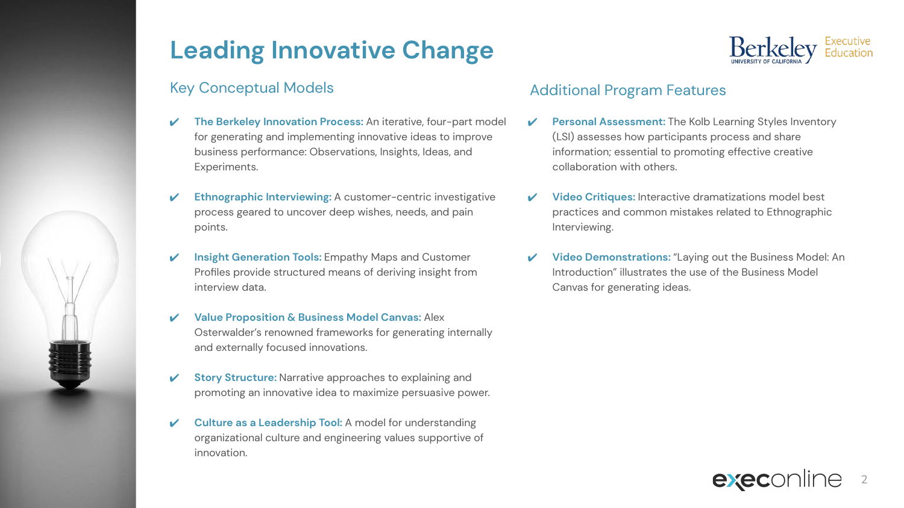## Key Conceptual Models

- ✔ **The Berkeley Innovation Process:** An iterative, four-part model for generating and implementing innovative ideas to improve business performance: Observations, Insights, Ideas, and Experiments.
- **Ethnographic Interviewing:** A customer-centric investigative process geared to uncover deep wishes, needs, and pain points.
- **Insight Generation Tools:** Empathy Maps and Customer Profiles provide structured means of deriving insight from interview data.
- ✔ **Value Proposition & Business Model Canvas:** Alex Osterwalder's renowned frameworks for generating internally and externally focused innovations.
- **Story Structure:** Narrative approaches to explaining and promoting an innovative idea to maximize persuasive power.
- **Culture as a Leadership Tool:** A model for understanding organizational culture and engineering values supportive of innovation.



## Additional Program Features

- **Personal Assessment:** The Kolb Learning Styles Inventory (LSI) assesses how participants process and share information; essential to promoting effective creative collaboration with others.
- ✔ **Video Critiques:** Interactive dramatizations model best practices and common mistakes related to Ethnographic Interviewing.
- ✔ **Video Demonstrations:** "Laying out the Business Model: An Introduction" illustrates the use of the Business Model Canvas for generating ideas.

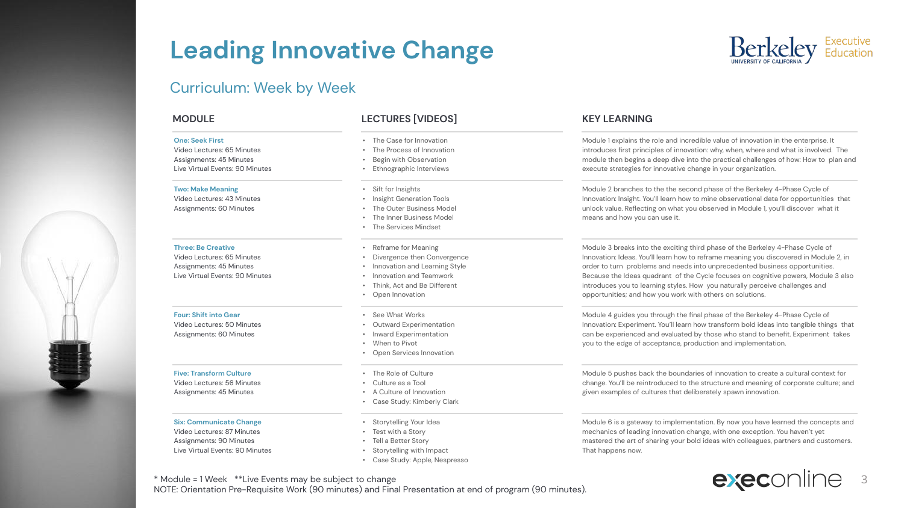### Curriculum: Week by Week

#### **One: Seek First**

Video Lectures: 65 Minutes Assignments: 45 Minutes Live Virtual Events: 90 Minutes

#### **Two: Make Meaning**

Video Lectures: 43 Minutes Assignments: 60 Minutes

#### **Three: Be Creative**

Video Lectures: 65 Minutes Assignments: 45 Minutes Live Virtual Events: 90 Minutes

#### **Four: Shift into Gear**

Video Lectures: 50 Minutes Assignments: 60 Minutes

#### **Five: Transform Culture**

Video Lectures: 56 Minutes Assignments: 45 Minutes

#### **Six: Communicate Change**

Video Lectures: 87 Minutes Assignments: 90 Minutes Live Virtual Events: 90 Minutes

### **MODULE LECTURES [VIDEOS] KEY LEARNING**

- The Case for Innovation
- The Process of Innovation
- Begin with Observation
- Ethnographic Interviews
- Sift for Insights
- Insight Generation Tools
- The Outer Business Model
- The Inner Business Model
- The Services Mindset
- Reframe for Meaning
- Divergence then Convergence
- Innovation and Learning Style
- Innovation and Teamwork
- Think, Act and Be Different
- Open Innovation
- See What Works
- Outward Experimentation
- Inward Experimentation
- When to Pivot
- Open Services Innovation
- 
- 
- 
- 
- Storytelling Your Idea
- Test with a Story
- Tell a Better Story
- Storytelling with Impact
- Case Study: Apple, Nespresso

Module 1 explains the role and incredible value of innovation in the enterprise. It introduces first principles of innovation: why, when, where and what is involved. The module then begins a deep dive into the practical challenges of how: How to plan and execute strategies for innovative change in your organization.

Module 2 branches to the the second phase of the Berkeley 4-Phase Cycle of Innovation: Insight. You'll learn how to mine observational data for opportunities that unlock value. Reflecting on what you observed in Module 1, you'll discover what it means and how you can use it.

Module 3 breaks into the exciting third phase of the Berkeley 4-Phase Cycle of Innovation: Ideas. You'll learn how to reframe meaning you discovered in Module 2, in order to turn problems and needs into unprecedented business opportunities. Because the Ideas quadrant of the Cycle focuses on cognitive powers, Module 3 also introduces you to learning styles. How you naturally perceive challenges and opportunities; and how you work with others on solutions.

Module 4 guides you through the final phase of the Berkeley 4-Phase Cycle of Innovation: Experiment. You'll learn how transform bold ideas into tangible things that can be experienced and evaluated by those who stand to benefit. Experiment takes you to the edge of acceptance, production and implementation.

Module 5 pushes back the boundaries of innovation to create a cultural context for change. You'll be reintroduced to the structure and meaning of corporate culture; and given examples of cultures that deliberately spawn innovation.

Module 6 is a gateway to implementation. By now you have learned the concepts and mechanics of leading innovation change, with one exception. You haven't yet mastered the art of sharing your bold ideas with colleagues, partners and customers. That happens now.



\* Module = 1 Week \*\*Live Events may be subject to change NOTE: Orientation Pre-Requisite Work (90 minutes) and Final Presentation at end of program (90 minutes).

- 
- 
- The Role of Culture
- Culture as a Tool
- A Culture of Innovation
- Case Study: Kimberly Clark
-